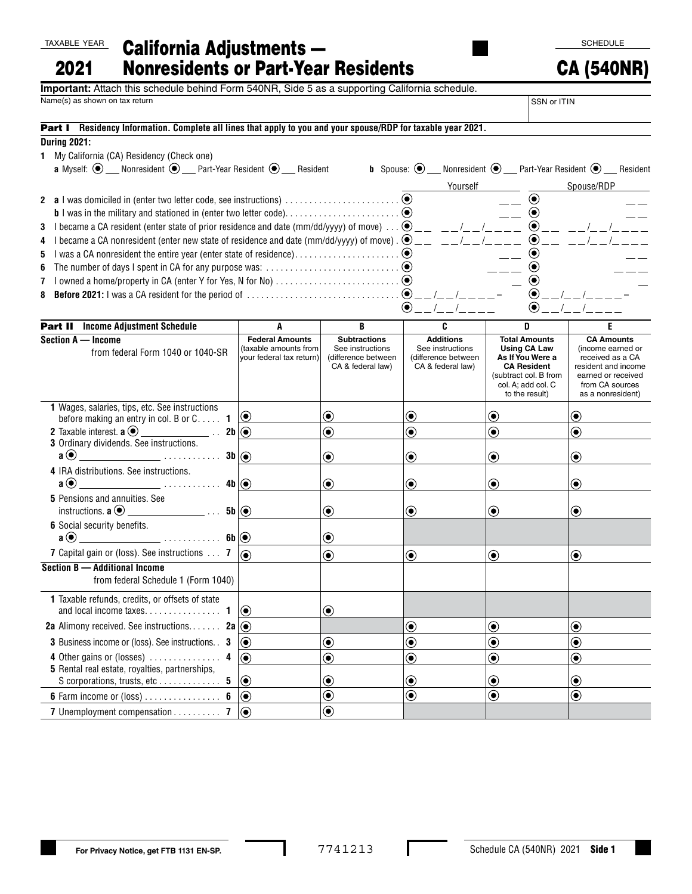### TAXABLE YEAR

### California Adjustments — Nonresidents or Part-Year Residents 2021

# **Important:** Attach this schedule behind Form 540NR, Side 5 as a supporting California schedule.

Name(s) as shown on tax return SSN or ITIN

 $\odot$ 

 $\odot$  $\odot$ 

# 40N

SCHEDULE

Part I **Residency Information. Complete all lines that apply to you and your spouse/RDP for taxable year 2021. During 2021: 1** My California (CA) Residency (Check one) **a** Myself:  $\odot$  Monresident  $\odot$  Part-Year Resident  $\odot$  Resident **b** Spouse:  $\odot$  Monresident  $\odot$  Part-Year Resident  $\odot$  Resident Yourself Spouse/RDP **2 a** I was domiciled in (enter two letter code, see instructions) . . . . . . . . . . . . . . . . . . . . . . . .  $\odot$ **b** I was in the military and stationed in (enter two letter code) . . . . . . . . . . . . . . . . . . . . . . . .  $\odot$ 

 $\odot$ 

 $\odot$ 

 $\odot$ 

**3** I became a CA resident (enter state of prior residence and date (mm/dd/yyyy) of move)  $\ldots$   $\odot$  \_ \_ \_ \_ \_ \_ \_ \_ \_ \_ \_ \_ \_  $\odot$ **4** I became a CA nonresident (enter new state of residence and date (mm/dd/yyyy) of move) .  $\bullet$  \_\_ \_ \_ \_/\_ \_/\_ \_ \_

- **5** I was a CA nonresident the entire year (enter state of residence) . . . . . . . . . . . . . . . . . . . . . .
- **6** The number of days I spent in CA for any purpose was: . . . . . . . . . . . . . . . . . . . . . . . . . . . .
- **7** I owned a home/property in CA (enter Y for Yes, N for No) . . . . . . . . . . . . . . . **8 Before 2021:** I was a CA resident for the period of . . . . . . . . . . . . . . . . . . . . . . . . . . . . . . . . / / – / / –

| $\left( \bullet \right)$<br>$\left( \bullet \right)$                                                                                                                      |                                                                             |                                                                                     |                                                                                  |                                                                                                                                                        |                                                                                                                                                 |
|---------------------------------------------------------------------------------------------------------------------------------------------------------------------------|-----------------------------------------------------------------------------|-------------------------------------------------------------------------------------|----------------------------------------------------------------------------------|--------------------------------------------------------------------------------------------------------------------------------------------------------|-------------------------------------------------------------------------------------------------------------------------------------------------|
| <b>Part II</b> Income Adjustment Schedule                                                                                                                                 | A                                                                           | В                                                                                   | C                                                                                | D                                                                                                                                                      | E                                                                                                                                               |
| Section A - Income<br>from federal Form 1040 or 1040-SR                                                                                                                   | <b>Federal Amounts</b><br>(taxable amounts from<br>vour federal tax return) | <b>Subtractions</b><br>See instructions<br>(difference between<br>CA & federal law) | <b>Additions</b><br>See instructions<br>(difference between<br>CA & federal law) | <b>Total Amounts</b><br><b>Using CA Law</b><br>As If You Were a<br><b>CA Resident</b><br>(subtract col. B from<br>col. A: add col. C<br>to the result) | <b>CA Amounts</b><br>(income earned or<br>received as a CA<br>resident and income<br>earned or received<br>from CA sources<br>as a nonresident) |
| 1 Wages, salaries, tips, etc. See instructions<br>before making an entry in col. B or $C_{1}, \ldots$<br>$\mathbf{1}$                                                     | $\odot$                                                                     | $\boldsymbol{\odot}$                                                                | $\textcolor{blue}{\bullet}$                                                      | $\boldsymbol{\copyright}$                                                                                                                              | $\textcolor{blue}{\bullet}$                                                                                                                     |
| 2 Taxable interest. $\mathbf{a} \odot$ ____________________.<br>3 Ordinary dividends. See instructions.                                                                   | $2b$ $\odot$                                                                | $\textcolor{blue}{\bullet}$                                                         | $\textcolor{blue}{\bullet}$                                                      | $\textcolor{blue}{\bullet}$                                                                                                                            | $\textcolor{blue}{\bullet}$                                                                                                                     |
| <u> 1990 - Johann Harry Herries, amerikansk f</u><br>$a$ $\odot$                                                                                                          | $3b$ ( $\odot$ )                                                            | $\textcolor{blue}{\bullet}$                                                         | $\bf{(\bullet)}$                                                                 | ◉                                                                                                                                                      | $\bf{(\bullet)}$                                                                                                                                |
| 4 IRA distributions. See instructions.<br>$a\bigodot$<br>and the company of the company of the company of the company of the company of the company of the company of the | $4b$ $\odot$                                                                | $\boldsymbol{\odot}$                                                                | $\boldsymbol{\odot}$                                                             | $\boldsymbol{\odot}$                                                                                                                                   | $\circledbullet$                                                                                                                                |
| 5 Pensions and annuities. See                                                                                                                                             | 5b(                                                                         | ◉                                                                                   | $\bf{(\bullet)}$                                                                 | ◉                                                                                                                                                      | $(\bullet)$                                                                                                                                     |
| <b>6</b> Social security benefits.                                                                                                                                        |                                                                             |                                                                                     |                                                                                  |                                                                                                                                                        |                                                                                                                                                 |
| 7 Capital gain or (loss). See instructions 7                                                                                                                              | 6                                                                           | $\boldsymbol{\odot}$<br>$\bf{(\bullet)}$                                            | $\circledbullet$                                                                 | $\circledbullet$                                                                                                                                       | $\circledbullet$                                                                                                                                |
| Section B - Additional Income<br>from federal Schedule 1 (Form 1040)                                                                                                      |                                                                             |                                                                                     |                                                                                  |                                                                                                                                                        |                                                                                                                                                 |
| 1 Taxable refunds, credits, or offsets of state                                                                                                                           | $\circledbullet$                                                            | ◉                                                                                   |                                                                                  |                                                                                                                                                        |                                                                                                                                                 |
| <b>2a</b> Alimony received. See instructions <b>2a</b> $\circledcirc$                                                                                                     |                                                                             |                                                                                     | $\textcolor{blue}{\bullet}$                                                      | $\textcolor{blue}{\bullet}$                                                                                                                            | $\textcolor{blue}{\bullet}$                                                                                                                     |
| <b>3</b> Business income or (loss). See instructions. <b>3</b>                                                                                                            | $\circledbullet$                                                            | $\textcolor{blue}{\bullet}$                                                         | $\boldsymbol{\copyright}$                                                        | $\textcolor{blue}{\bullet}$                                                                                                                            | $\circledbullet$                                                                                                                                |
| 4 Other gains or (losses) $\dots \dots \dots \dots$                                                                                                                       | $\odot$                                                                     | $\textcolor{blue}{\bullet}$                                                         | $\textcolor{blue}{\bullet}$                                                      | $\textcircled{\small\bullet}$                                                                                                                          | $\odot$                                                                                                                                         |
| 5 Rental real estate, royalties, partnerships,<br>S corporations, trusts, etc 5                                                                                           | $\odot$                                                                     | $\boldsymbol{\copyright}$                                                           | $\boldsymbol{\odot}$                                                             | $\textcolor{blue}{\bullet}$                                                                                                                            | $\bf{(\bullet)}$                                                                                                                                |
|                                                                                                                                                                           | $\odot$                                                                     | $\textcolor{blue}{\bullet}$                                                         | $\textcolor{blue}{\bullet}$                                                      | $\textcolor{blue}{\bullet}$                                                                                                                            | $\bf{(\bullet)}$                                                                                                                                |
| 7 Unemployment compensation 7                                                                                                                                             | $ _{\textstyle\odot}$                                                       | $\widehat{\bullet}$                                                                 |                                                                                  |                                                                                                                                                        |                                                                                                                                                 |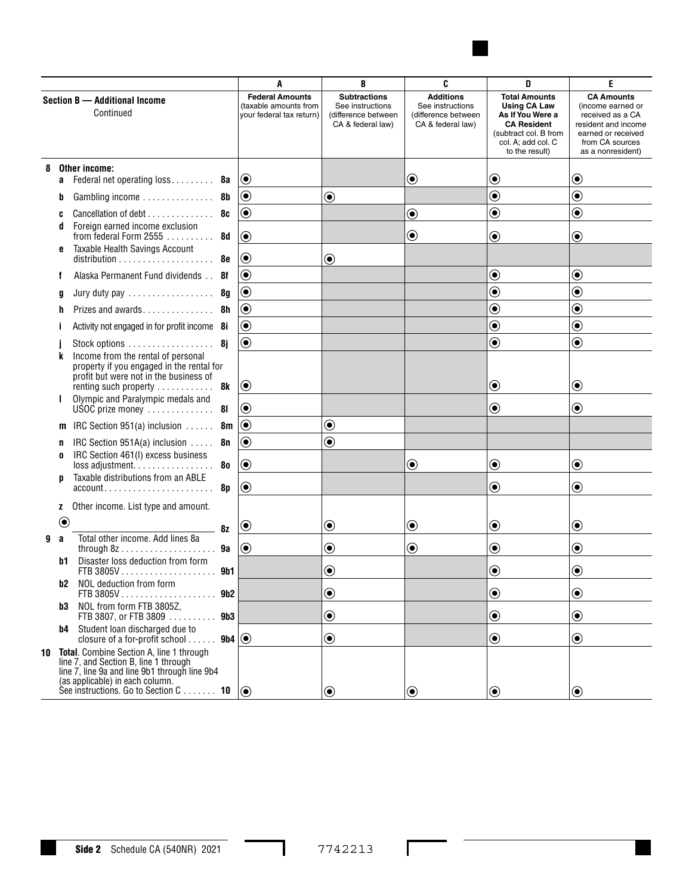

|                                            |              |                                                                                                                                                                                                               |                                                                                     | A                                                                                | B                                                                                                                                                      | C                                                                                                                                               | D                           | E                               |
|--------------------------------------------|--------------|---------------------------------------------------------------------------------------------------------------------------------------------------------------------------------------------------------------|-------------------------------------------------------------------------------------|----------------------------------------------------------------------------------|--------------------------------------------------------------------------------------------------------------------------------------------------------|-------------------------------------------------------------------------------------------------------------------------------------------------|-----------------------------|---------------------------------|
| Section B - Additional Income<br>Continued |              | <b>Federal Amounts</b><br>(taxable amounts from<br>your federal tax return)                                                                                                                                   | <b>Subtractions</b><br>See instructions<br>(difference between<br>CA & federal law) | <b>Additions</b><br>See instructions<br>(difference between<br>CA & federal law) | <b>Total Amounts</b><br><b>Using CA Law</b><br>As If You Were a<br><b>CA Resident</b><br>(subtract col. B from<br>col. A; add col. C<br>to the result) | <b>CA Amounts</b><br>(income earned or<br>received as a CA<br>resident and income<br>earned or received<br>from CA sources<br>as a nonresident) |                             |                                 |
| 8                                          | a            | Other income:<br>Federal net operating loss                                                                                                                                                                   | 8а                                                                                  | $\boldsymbol{\odot}$                                                             |                                                                                                                                                        | $\bf \odot$                                                                                                                                     | $\boldsymbol{\odot}$        | $\boldsymbol{\copyright}$       |
|                                            | b            | Gambling income                                                                                                                                                                                               | -8b                                                                                 | $\boldsymbol{\copyright}$                                                        | $\bf \odot$                                                                                                                                            |                                                                                                                                                 | $\textcolor{blue}{\bullet}$ | $\textcolor{blue}{\bullet}$     |
|                                            | C            | Cancellation of debt $\ldots$ , $\ldots$ , $\ldots$                                                                                                                                                           | 8c                                                                                  | $\textcolor{blue}{\bullet}$                                                      |                                                                                                                                                        | $\textcolor{blue}{\bullet}$                                                                                                                     | $\textcolor{blue}{\bullet}$ | $\textcolor{blue}{\bullet}$     |
|                                            | d<br>6       | Foreign earned income exclusion<br>from federal Form 2555<br>Taxable Health Savings Account                                                                                                                   | 8d                                                                                  | $\boldsymbol{\odot}$                                                             |                                                                                                                                                        | $\textcolor{blue}{\bullet}$                                                                                                                     | $\boldsymbol{\copyright}$   | $\textcolor{blue}{\bullet}$     |
|                                            |              | $distri$ bution $\ldots \ldots \ldots \ldots \ldots \ldots$                                                                                                                                                   | 8e                                                                                  | $\boldsymbol{\odot}$                                                             | $\textcolor{blue}{\bullet}$                                                                                                                            |                                                                                                                                                 |                             |                                 |
|                                            |              | Alaska Permanent Fund dividends                                                                                                                                                                               | -8f                                                                                 | $\boldsymbol{\odot}$                                                             |                                                                                                                                                        |                                                                                                                                                 | $\textcolor{blue}{\bullet}$ | $\textcolor{blue}{\bullet}$     |
|                                            | g            | Jury duty pay                                                                                                                                                                                                 | 8g                                                                                  | $\textcolor{blue}{\bullet}$                                                      |                                                                                                                                                        |                                                                                                                                                 | $\textcolor{blue}{\bullet}$ | $\textcolor{blue}{\bullet}$     |
|                                            |              |                                                                                                                                                                                                               | 8h                                                                                  | $\textcolor{blue}{\bullet}$                                                      |                                                                                                                                                        |                                                                                                                                                 | $\textcolor{blue}{\bullet}$ | $\textcircled{\small{\bullet}}$ |
|                                            |              | Activity not engaged in for profit income 8i                                                                                                                                                                  |                                                                                     | $\textcolor{blue}{\bullet}$                                                      |                                                                                                                                                        |                                                                                                                                                 | $\textcolor{blue}{\bullet}$ | $\textcolor{blue}{\bullet}$     |
|                                            | k            | Stock options $\dots \dots \dots \dots \dots$<br>Income from the rental of personal<br>property if you engaged in the rental for                                                                              |                                                                                     | $\bf \odot$                                                                      |                                                                                                                                                        |                                                                                                                                                 | $\textcolor{blue}{\bullet}$ | $\textcolor{blue}{\bullet}$     |
|                                            |              | profit but were not in the business of<br>renting such property<br>Olympic and Paralympic medals and                                                                                                          | 8k                                                                                  | $\boldsymbol{\odot}$                                                             |                                                                                                                                                        |                                                                                                                                                 | $\boldsymbol{\odot}$        | $\boldsymbol{\odot}$            |
|                                            |              | USOC prize money                                                                                                                                                                                              | 81                                                                                  | $\boldsymbol{\odot}$                                                             |                                                                                                                                                        |                                                                                                                                                 | $\left( \bullet \right)$    | ◉                               |
|                                            | m            | IRC Section 951(a) inclusion                                                                                                                                                                                  | 8m                                                                                  | $\boldsymbol{\odot}$                                                             | $\textcolor{blue}{\bullet}$                                                                                                                            |                                                                                                                                                 |                             |                                 |
|                                            | n<br>0       | IRC Section $951A(a)$ inclusion $\ldots$ .<br>IRC Section 461(I) excess business                                                                                                                              | 8n<br>80                                                                            | $\textcolor{blue}{\bullet}$<br>$\boldsymbol{\odot}$                              | $\textcolor{blue}{\bullet}$                                                                                                                            | $\textcolor{blue}{\bullet}$                                                                                                                     | $\textcolor{blue}{\bullet}$ | $\boldsymbol{\copyright}$       |
|                                            | D            | loss adjustment<br>Taxable distributions from an ABLE                                                                                                                                                         | 8p                                                                                  | $\boldsymbol{\odot}$                                                             |                                                                                                                                                        |                                                                                                                                                 | $\boldsymbol{\odot}$        | $\bf \odot$                     |
|                                            | z            | Other income. List type and amount.                                                                                                                                                                           |                                                                                     |                                                                                  |                                                                                                                                                        |                                                                                                                                                 |                             |                                 |
|                                            | $\bigcirc$   |                                                                                                                                                                                                               | 8z                                                                                  | $\textcolor{blue}{\bullet}$                                                      | $\boldsymbol{\copyright}$                                                                                                                              | $\textcolor{blue}{\bullet}$                                                                                                                     | $\textcolor{blue}{\bullet}$ | $\boldsymbol{\copyright}$       |
| 9                                          | $\mathbf{a}$ | Total other income. Add lines 8a                                                                                                                                                                              | 9a                                                                                  | $\boldsymbol{\odot}$                                                             | $\textcolor{blue}{\bullet}$                                                                                                                            | $\boldsymbol{\odot}$                                                                                                                            | $\boldsymbol{\odot}$        | $\textcolor{blue}{\bullet}$     |
|                                            | b1           | Disaster loss deduction from form<br>FTB 3805V 9b1                                                                                                                                                            |                                                                                     |                                                                                  | ◉                                                                                                                                                      |                                                                                                                                                 | $(\bullet)$                 | ◉                               |
|                                            | b2 -         | NOL deduction from form                                                                                                                                                                                       | 9b2                                                                                 |                                                                                  | $\textcolor{blue}{\bullet}$                                                                                                                            |                                                                                                                                                 | $\textcolor{blue}{\bullet}$ | $\textcircled{\small\bullet}$   |
|                                            | b3           | NOL from form FTB 3805Z,<br>FTB 3807, or FTB 3809                                                                                                                                                             | 9 <sub>b3</sub>                                                                     |                                                                                  | $\textcolor{blue}{\bullet}$                                                                                                                            |                                                                                                                                                 | $\boldsymbol{\odot}$        | $\textcolor{blue}{\bullet}$     |
|                                            |              | <b>b4</b> Student loan discharged due to<br>closure of a for-profit school $\dots$ .                                                                                                                          | $9b4$ $\odot$                                                                       |                                                                                  | $\boldsymbol{\odot}$                                                                                                                                   |                                                                                                                                                 | $\bf \odot$                 | $\bf \odot$                     |
| 10                                         |              | Total. Combine Section A, line 1 through<br>line 7, and Section B, line 1 through<br>line 7, line 9a and line 9b1 through line 9b4<br>(as applicable) in each column.<br>See instructions. Go to Section C 10 |                                                                                     | $\circledbullet$                                                                 | $\bf{(\bullet)}$                                                                                                                                       | $\circledbullet$                                                                                                                                | $\circledbullet$            | $\circledbullet$                |

 $\mathbf{I}$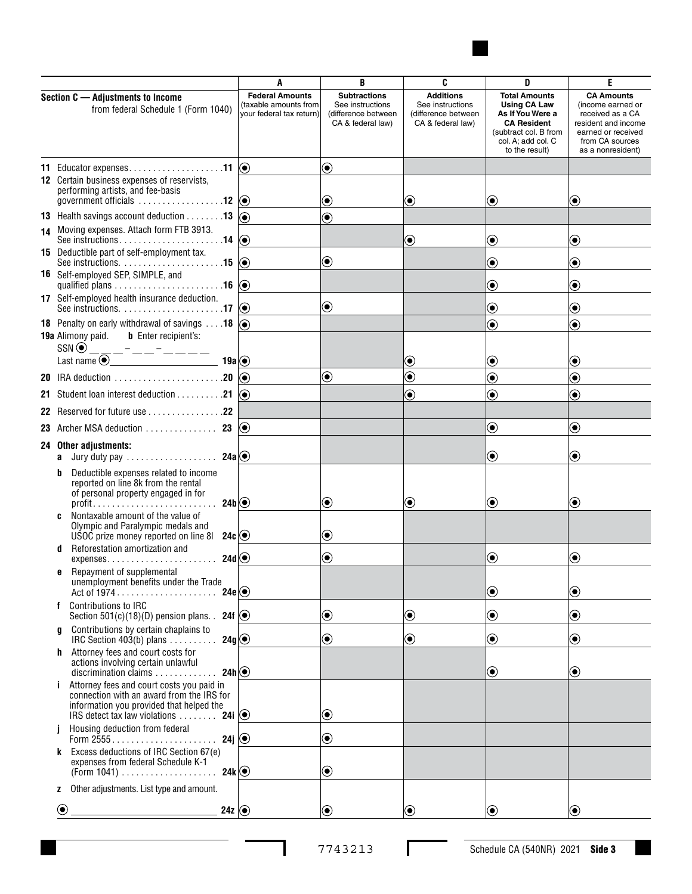

|                                                                                                                                                | A                                                                           | B                                                                                   | C                                                                                | D                                                                                                              | E                                                                                                       |
|------------------------------------------------------------------------------------------------------------------------------------------------|-----------------------------------------------------------------------------|-------------------------------------------------------------------------------------|----------------------------------------------------------------------------------|----------------------------------------------------------------------------------------------------------------|---------------------------------------------------------------------------------------------------------|
| Section C - Adjustments to Income<br>from federal Schedule 1 (Form 1040)                                                                       | <b>Federal Amounts</b><br>(taxable amounts from<br>your federal tax return) | <b>Subtractions</b><br>See instructions<br>(difference between<br>CA & federal law) | <b>Additions</b><br>See instructions<br>(difference between<br>CA & federal law) | <b>Total Amounts</b><br><b>Using CA Law</b><br>As If You Were a<br><b>CA Resident</b><br>(subtract col. B from | <b>CA Amounts</b><br>(income earned or<br>received as a CA<br>resident and income<br>earned or received |
|                                                                                                                                                |                                                                             |                                                                                     |                                                                                  | col. A; add col. C<br>to the result)                                                                           | from CA sources<br>as a nonresident)                                                                    |
| 11 Educator expenses11 $\circ$                                                                                                                 |                                                                             | $\textcolor{blue}{\bullet}$                                                         |                                                                                  |                                                                                                                |                                                                                                         |
| <b>12</b> Certain business expenses of reservists,<br>performing artists, and fee-basis                                                        |                                                                             | $\textcolor{blue}{\bullet}$                                                         | ◉                                                                                | ◉                                                                                                              | $\boldsymbol{\odot}$                                                                                    |
| <b>13</b> Health savings account deduction $\dots \dots \dots$ 13 $\textcircled{\bullet}$                                                      |                                                                             | $\textcolor{blue}{\bullet}$                                                         |                                                                                  |                                                                                                                |                                                                                                         |
| 14 Moving expenses. Attach form FTB 3913.                                                                                                      |                                                                             |                                                                                     | $\textcolor{blue}{\bullet}$                                                      | $\textcolor{blue}{\bullet}$                                                                                    | $\boldsymbol{\odot}$                                                                                    |
| 15 Deductible part of self-employment tax.                                                                                                     |                                                                             | $\bigcirc$                                                                          |                                                                                  | ◉                                                                                                              | $\bf{(\bullet)}$                                                                                        |
| <b>16</b> Self-employed SEP, SIMPLE, and                                                                                                       |                                                                             |                                                                                     |                                                                                  | ◉                                                                                                              | $\boldsymbol{\copyright}$                                                                               |
| 17 Self-employed health insurance deduction.                                                                                                   |                                                                             | $\textcolor{blue}{\bullet}$                                                         |                                                                                  | ◉                                                                                                              | $\boldsymbol{\odot}$                                                                                    |
| <b>18</b> Penalty on early withdrawal of savings $\dots$ 18 $\circ$<br><b>19a</b> Alimony paid. <b>b</b> Enter recipient's:                    |                                                                             |                                                                                     |                                                                                  | $\bf \widehat{\bullet}$                                                                                        | $\textcolor{blue}{\bullet}$                                                                             |
| $SSN$ $\odot$ _ _ _ _ _ _ _ _ _ _ _ _ _ _ _                                                                                                    |                                                                             |                                                                                     |                                                                                  |                                                                                                                |                                                                                                         |
| 19a $\circ$                                                                                                                                    |                                                                             | $\textcircled{\textcirc}$                                                           | ◉<br>$\textcolor{blue}{\bullet}$                                                 | $\boldsymbol{\odot}$<br>$\textcolor{blue}{\bullet}$                                                            | $\boldsymbol{\odot}$                                                                                    |
| 20 IRA deduction $\ldots \ldots \ldots \ldots \ldots \ldots \ldots$ 20 $\circledast$<br>21 Student loan interest deduction 21 $\circledcirc$   |                                                                             |                                                                                     | $\bf \widehat{\bullet}$                                                          | $\bf \widehat{\bullet}$                                                                                        | $\bf{(\bullet)}$<br>$\textcolor{blue}{\bullet}$                                                         |
| 22 Reserved for future use 22                                                                                                                  |                                                                             |                                                                                     |                                                                                  |                                                                                                                |                                                                                                         |
| <b>23</b> Archer MSA deduction $\dots\dots\dots\dots$ <b>23 <math>\circledcirc</math></b>                                                      |                                                                             |                                                                                     |                                                                                  | $\textcolor{blue}{\bullet}$                                                                                    | $\textcolor{blue}{\bullet}$                                                                             |
| 24 Other adjustments:                                                                                                                          |                                                                             |                                                                                     |                                                                                  |                                                                                                                |                                                                                                         |
| <b>a</b> Jury duty pay 24a $\odot$<br>Deductible expenses related to income<br>b                                                               |                                                                             |                                                                                     |                                                                                  | $\textcolor{blue}{\bullet}$                                                                                    | $\boldsymbol{\odot}$                                                                                    |
| reported on line 8k from the rental<br>of personal property engaged in for<br>24b                                                              |                                                                             | $\textcolor{blue}{\bullet}$                                                         | $\boldsymbol{\odot}$                                                             | $\boldsymbol{\odot}$                                                                                           | $\bf{O}$                                                                                                |
| Nontaxable amount of the value of<br>c                                                                                                         |                                                                             |                                                                                     |                                                                                  |                                                                                                                |                                                                                                         |
| Olympic and Paralympic medals and<br>USOC prize money reported on line 8I<br>$24c$ $\odot$                                                     |                                                                             | $\textcolor{blue}{\bullet}$                                                         |                                                                                  |                                                                                                                |                                                                                                         |
| Reforestation amortization and<br>d<br>$expenses. \ldots \ldots \ldots \ldots \ldots \ldots 24d)$                                              |                                                                             | $\textcolor{blue}{\bullet}$                                                         |                                                                                  | ◉                                                                                                              | $\boldsymbol{\odot}$                                                                                    |
| Repayment of supplemental<br>e<br>unemployment benefits under the Trade                                                                        |                                                                             |                                                                                     |                                                                                  |                                                                                                                |                                                                                                         |
| Contributions to IRC<br>f                                                                                                                      |                                                                             |                                                                                     |                                                                                  | $\textcolor{blue}{\bullet}$                                                                                    | $\textcolor{blue}{\bullet}$                                                                             |
| Section 501(c)(18)(D) pension plans. 24f $\bigcirc$                                                                                            |                                                                             | $\textcolor{blue}{\bullet}$                                                         | $\textcolor{blue}{\bullet}$                                                      | $\textcolor{blue}{\bullet}$                                                                                    | $\textcolor{blue}{\bullet}$                                                                             |
| Contributions by certain chaplains to<br>a<br>24g<br>IRC Section $403(b)$ plans $\ldots$                                                       |                                                                             | $\textcolor{blue}{\bullet}$                                                         | $\textcolor{blue}{\bullet}$                                                      | $\textcolor{blue}{\bullet}$                                                                                    | $\boldsymbol{\copyright}$                                                                               |
| Attorney fees and court costs for<br>h.<br>actions involving certain unlawful<br>$24h$ $\odot$<br>discrimination claims $\ldots \ldots \ldots$ |                                                                             |                                                                                     |                                                                                  | $\textcolor{blue}{\bullet}$                                                                                    | $\boldsymbol{\odot}$                                                                                    |
| Attorney fees and court costs you paid in<br>connection with an award from the IRS for<br>information you provided that helped the             |                                                                             |                                                                                     |                                                                                  |                                                                                                                |                                                                                                         |
| IRS detect tax law violations  24i $\circledcirc$<br>Housing deduction from federal                                                            |                                                                             | $\textcircled{\textcolor{white}{\bullet}}$                                          |                                                                                  |                                                                                                                |                                                                                                         |
| 24j $ $<br>Form 2555<br>k Excess deductions of IRC Section 67(e)                                                                               |                                                                             | $\textcolor{blue}{\bullet}$                                                         |                                                                                  |                                                                                                                |                                                                                                         |
| expenses from federal Schedule K-1                                                                                                             |                                                                             | $\textcolor{blue}{\bullet}$                                                         |                                                                                  |                                                                                                                |                                                                                                         |
| Other adjustments. List type and amount.<br>z                                                                                                  |                                                                             |                                                                                     |                                                                                  |                                                                                                                |                                                                                                         |
| $\bigcirc$<br>24z $ $                                                                                                                          |                                                                             | $\textcolor{blue}{\bullet}$                                                         | $\odot$                                                                          | $\textcircled{\small{\bullet}}$                                                                                | $\textcircled{\textcolor{white}{\bullet}}$                                                              |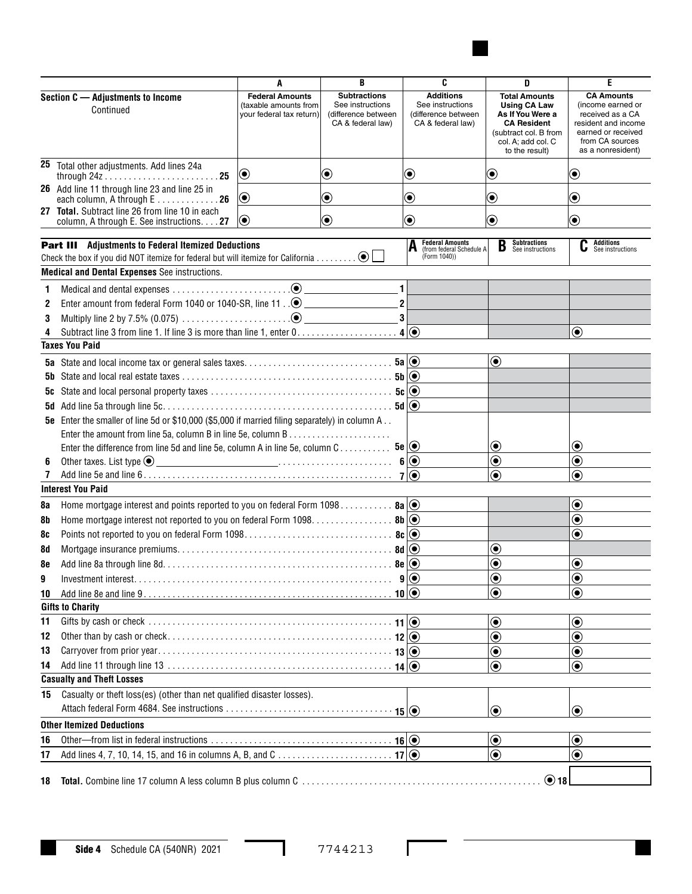

|                                                                              |                                                                                                                      | A                                                                           | B                                                                                   | C                                                                                | D                                                                                                                                                      | E                                                                                                                                               |
|------------------------------------------------------------------------------|----------------------------------------------------------------------------------------------------------------------|-----------------------------------------------------------------------------|-------------------------------------------------------------------------------------|----------------------------------------------------------------------------------|--------------------------------------------------------------------------------------------------------------------------------------------------------|-------------------------------------------------------------------------------------------------------------------------------------------------|
|                                                                              | Section C - Adjustments to Income<br>Continued                                                                       | <b>Federal Amounts</b><br>(taxable amounts from<br>your federal tax return) | <b>Subtractions</b><br>See instructions<br>(difference between<br>CA & federal law) | <b>Additions</b><br>See instructions<br>(difference between<br>CA & federal law) | <b>Total Amounts</b><br><b>Using CA Law</b><br>As If You Were a<br><b>CA Resident</b><br>(subtract col. B from<br>col. A; add col. C<br>to the result) | <b>CA Amounts</b><br>(income earned or<br>received as a CA<br>resident and income<br>earned or received<br>from CA sources<br>as a nonresident) |
|                                                                              | 25 Total other adjustments. Add lines 24a                                                                            | $\textcolor{blue}{\bullet}$                                                 | $\boldsymbol{\odot}$                                                                | $\boldsymbol{\odot}$                                                             | $\boldsymbol{\odot}$                                                                                                                                   | $\boldsymbol{\odot}$                                                                                                                            |
|                                                                              | 26 Add line 11 through line 23 and line 25 in<br>each column, A through E 26                                         | $\boldsymbol{\odot}$                                                        | $\boldsymbol{\odot}$                                                                | $\boldsymbol{\odot}$                                                             | $\textcolor{blue}{\bullet}$                                                                                                                            | $\textcolor{blue}{\bullet}$                                                                                                                     |
|                                                                              | 27 Total. Subtract line 26 from line 10 in each<br>column, A through E. See instructions. 27                         | $  \textcolor{teal}{\bullet}$                                               | $\bf \odot$                                                                         | $\bf \odot$                                                                      | $\textcolor{blue}{\bullet}$                                                                                                                            | $\bf{O}$                                                                                                                                        |
|                                                                              | <b>Part III</b> Adjustments to Federal Itemized Deductions                                                           |                                                                             |                                                                                     | <b>Federal Amounts</b><br>(from federal Schedule A                               | <b>Subtractions</b><br>B<br>See instructions                                                                                                           | <b>Additions</b><br>C<br>See instructions                                                                                                       |
|                                                                              | Check the box if you did NOT itemize for federal but will itemize for California $\odot$ $\Box$                      |                                                                             |                                                                                     | (Form 1040))                                                                     |                                                                                                                                                        |                                                                                                                                                 |
|                                                                              | <b>Medical and Dental Expenses</b> See instructions.                                                                 |                                                                             |                                                                                     |                                                                                  |                                                                                                                                                        |                                                                                                                                                 |
| 1                                                                            |                                                                                                                      |                                                                             | $\vert$ 1                                                                           |                                                                                  |                                                                                                                                                        |                                                                                                                                                 |
| 2                                                                            |                                                                                                                      |                                                                             | $\overline{2}$                                                                      |                                                                                  |                                                                                                                                                        |                                                                                                                                                 |
| 3                                                                            |                                                                                                                      |                                                                             | 3 <sup>1</sup>                                                                      |                                                                                  |                                                                                                                                                        |                                                                                                                                                 |
| 4                                                                            | Subtract line 3 from line 1. If line 3 is more than line 1, enter $0, \ldots, \ldots, \ldots, \ldots, 4 \vert \odot$ |                                                                             |                                                                                     |                                                                                  |                                                                                                                                                        | $\odot$                                                                                                                                         |
|                                                                              | <b>Taxes You Paid</b>                                                                                                |                                                                             |                                                                                     |                                                                                  |                                                                                                                                                        |                                                                                                                                                 |
|                                                                              |                                                                                                                      |                                                                             |                                                                                     |                                                                                  | $\bf \odot$                                                                                                                                            |                                                                                                                                                 |
| 5b                                                                           |                                                                                                                      |                                                                             |                                                                                     |                                                                                  |                                                                                                                                                        |                                                                                                                                                 |
| 5c                                                                           |                                                                                                                      |                                                                             |                                                                                     |                                                                                  |                                                                                                                                                        |                                                                                                                                                 |
| 5d                                                                           |                                                                                                                      |                                                                             |                                                                                     |                                                                                  |                                                                                                                                                        |                                                                                                                                                 |
|                                                                              | 5e Enter the smaller of line 5d or \$10,000 (\$5,000 if married filing separately) in column A                       |                                                                             |                                                                                     |                                                                                  |                                                                                                                                                        |                                                                                                                                                 |
|                                                                              |                                                                                                                      |                                                                             |                                                                                     |                                                                                  |                                                                                                                                                        |                                                                                                                                                 |
|                                                                              | Enter the difference from line 5d and line 5e, column A in line 5e, column C 5e $\circledcirc$                       |                                                                             |                                                                                     |                                                                                  | $\bf \odot$                                                                                                                                            | $\boldsymbol{\odot}$                                                                                                                            |
| 6                                                                            | ———————————————————— 6 ⊙<br>Other taxes. List type $\odot$                                                           |                                                                             |                                                                                     |                                                                                  | $\odot$                                                                                                                                                | $\textcolor{blue}{\bullet}$                                                                                                                     |
| $\mathbf{7}$                                                                 |                                                                                                                      |                                                                             |                                                                                     |                                                                                  | $\bf \bm{\odot}$                                                                                                                                       | $\bf{(\bullet)}$                                                                                                                                |
|                                                                              | <b>Interest You Paid</b>                                                                                             |                                                                             |                                                                                     |                                                                                  |                                                                                                                                                        |                                                                                                                                                 |
| 8a                                                                           | Home mortgage interest and points reported to you on federal Form 1098 8a $\circledcirc$                             |                                                                             |                                                                                     |                                                                                  |                                                                                                                                                        | $\odot$                                                                                                                                         |
| 8b                                                                           | Home mortgage interest not reported to you on federal Form 1098. 8b $\odot$                                          |                                                                             |                                                                                     |                                                                                  |                                                                                                                                                        | $\textcolor{blue}{\bullet}$                                                                                                                     |
| 8c                                                                           |                                                                                                                      |                                                                             |                                                                                     |                                                                                  |                                                                                                                                                        | $\textcolor{blue}{\bullet}$                                                                                                                     |
| 8d                                                                           |                                                                                                                      |                                                                             |                                                                                     |                                                                                  | $\textcircled{\small\bullet}$                                                                                                                          |                                                                                                                                                 |
| 8e                                                                           |                                                                                                                      |                                                                             |                                                                                     |                                                                                  | $\textcolor{blue}{\bullet}$                                                                                                                            | $\boldsymbol{\copyright}$                                                                                                                       |
| 9                                                                            |                                                                                                                      |                                                                             |                                                                                     |                                                                                  | $\bf \bm{\odot}$                                                                                                                                       | $\bf{(\bullet)}$                                                                                                                                |
| 10                                                                           |                                                                                                                      |                                                                             |                                                                                     |                                                                                  | $\bigcirc$                                                                                                                                             | $\odot$                                                                                                                                         |
|                                                                              | <b>Gifts to Charity</b>                                                                                              |                                                                             |                                                                                     |                                                                                  |                                                                                                                                                        |                                                                                                                                                 |
| 11                                                                           |                                                                                                                      |                                                                             |                                                                                     |                                                                                  | $\textcircled{\small\bullet}$                                                                                                                          | $\textcolor{blue}{\bullet}$                                                                                                                     |
| 12                                                                           |                                                                                                                      |                                                                             |                                                                                     |                                                                                  | $\circledbullet$                                                                                                                                       | $\bigcirc$                                                                                                                                      |
| 13                                                                           |                                                                                                                      |                                                                             |                                                                                     |                                                                                  | $\textcircled{\scriptsize\bullet}$                                                                                                                     | $\textcolor{blue}{\bullet}$                                                                                                                     |
| 14                                                                           |                                                                                                                      |                                                                             |                                                                                     |                                                                                  | $\textcolor{blue}{\bullet}$                                                                                                                            | $\textcolor{blue}{\bullet}$                                                                                                                     |
|                                                                              | <b>Casualty and Theft Losses</b>                                                                                     |                                                                             |                                                                                     |                                                                                  |                                                                                                                                                        |                                                                                                                                                 |
| Casualty or theft loss(es) (other than net qualified disaster losses).<br>15 |                                                                                                                      |                                                                             |                                                                                     |                                                                                  |                                                                                                                                                        |                                                                                                                                                 |
|                                                                              |                                                                                                                      |                                                                             |                                                                                     |                                                                                  |                                                                                                                                                        |                                                                                                                                                 |
| $\odot$<br>$\odot$                                                           |                                                                                                                      |                                                                             |                                                                                     |                                                                                  |                                                                                                                                                        |                                                                                                                                                 |
|                                                                              | <b>Other Itemized Deductions</b>                                                                                     |                                                                             |                                                                                     |                                                                                  |                                                                                                                                                        |                                                                                                                                                 |
| 16                                                                           |                                                                                                                      |                                                                             |                                                                                     |                                                                                  | $\bf \odot$                                                                                                                                            | $\bf{O}$                                                                                                                                        |
| 17                                                                           |                                                                                                                      |                                                                             |                                                                                     |                                                                                  | $\odot$                                                                                                                                                | ◉                                                                                                                                               |
| 18                                                                           |                                                                                                                      |                                                                             |                                                                                     |                                                                                  | $\odot$ 18                                                                                                                                             |                                                                                                                                                 |

 $\Gamma$